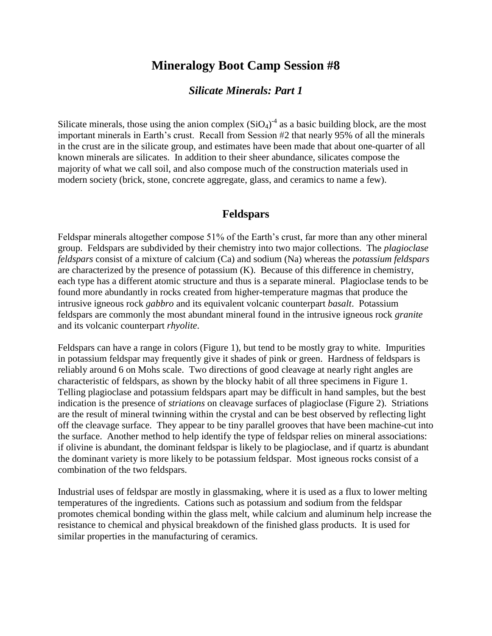# **Mineralogy Boot Camp Session #8**

## *Silicate Minerals: Part 1*

Silicate minerals, those using the anion complex  $(SiO<sub>4</sub>)<sup>-4</sup>$  as a basic building block, are the most important minerals in Earth's crust. Recall from Session #2 that nearly 95% of all the minerals in the crust are in the silicate group, and estimates have been made that about one-quarter of all known minerals are silicates. In addition to their sheer abundance, silicates compose the majority of what we call soil, and also compose much of the construction materials used in modern society (brick, stone, concrete aggregate, glass, and ceramics to name a few).

#### **Feldspars**

Feldspar minerals altogether compose 51% of the Earth's crust, far more than any other mineral group. Feldspars are subdivided by their chemistry into two major collections. The *plagioclase feldspars* consist of a mixture of calcium (Ca) and sodium (Na) whereas the *potassium feldspars* are characterized by the presence of potassium (K). Because of this difference in chemistry, each type has a different atomic structure and thus is a separate mineral. Plagioclase tends to be found more abundantly in rocks created from higher-temperature magmas that produce the intrusive igneous rock *gabbro* and its equivalent volcanic counterpart *basalt*. Potassium feldspars are commonly the most abundant mineral found in the intrusive igneous rock *granite* and its volcanic counterpart *rhyolite*.

Feldspars can have a range in colors (Figure 1), but tend to be mostly gray to white. Impurities in potassium feldspar may frequently give it shades of pink or green. Hardness of feldspars is reliably around 6 on Mohs scale. Two directions of good cleavage at nearly right angles are characteristic of feldspars, as shown by the blocky habit of all three specimens in Figure 1. Telling plagioclase and potassium feldspars apart may be difficult in hand samples, but the best indication is the presence of *striations* on cleavage surfaces of plagioclase (Figure 2). Striations are the result of mineral twinning within the crystal and can be best observed by reflecting light off the cleavage surface. They appear to be tiny parallel grooves that have been machine-cut into the surface. Another method to help identify the type of feldspar relies on mineral associations: if olivine is abundant, the dominant feldspar is likely to be plagioclase, and if quartz is abundant the dominant variety is more likely to be potassium feldspar. Most igneous rocks consist of a combination of the two feldspars.

Industrial uses of feldspar are mostly in glassmaking, where it is used as a flux to lower melting temperatures of the ingredients. Cations such as potassium and sodium from the feldspar promotes chemical bonding within the glass melt, while calcium and aluminum help increase the resistance to chemical and physical breakdown of the finished glass products. It is used for similar properties in the manufacturing of ceramics.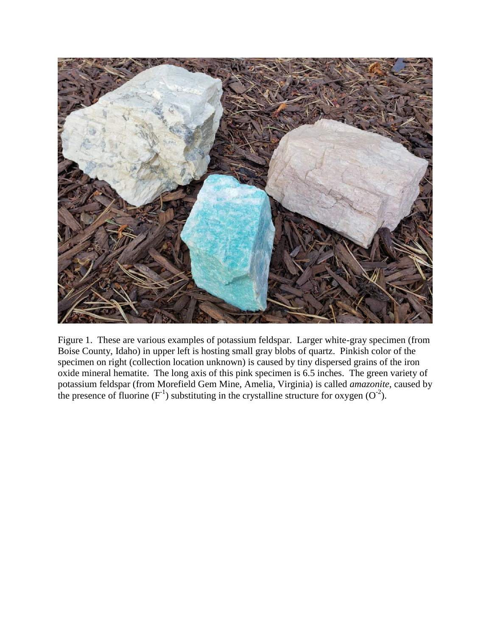

Figure 1. These are various examples of potassium feldspar. Larger white-gray specimen (from Boise County, Idaho) in upper left is hosting small gray blobs of quartz. Pinkish color of the specimen on right (collection location unknown) is caused by tiny dispersed grains of the iron oxide mineral hematite. The long axis of this pink specimen is 6.5 inches. The green variety of potassium feldspar (from Morefield Gem Mine, Amelia, Virginia) is called *amazonite*, caused by the presence of fluorine  $(F<sup>-1</sup>)$  substituting in the crystalline structure for oxygen  $(O<sup>-2</sup>)$ .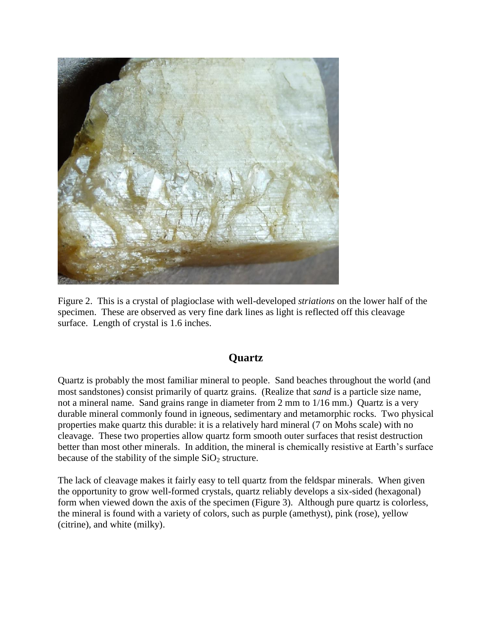

Figure 2. This is a crystal of plagioclase with well-developed *striations* on the lower half of the specimen. These are observed as very fine dark lines as light is reflected off this cleavage surface. Length of crystal is 1.6 inches.

# **Quartz**

Quartz is probably the most familiar mineral to people. Sand beaches throughout the world (and most sandstones) consist primarily of quartz grains. (Realize that *sand* is a particle size name, not a mineral name. Sand grains range in diameter from 2 mm to 1/16 mm.) Quartz is a very durable mineral commonly found in igneous, sedimentary and metamorphic rocks. Two physical properties make quartz this durable: it is a relatively hard mineral (7 on Mohs scale) with no cleavage. These two properties allow quartz form smooth outer surfaces that resist destruction better than most other minerals. In addition, the mineral is chemically resistive at Earth's surface because of the stability of the simple  $SiO<sub>2</sub>$  structure.

The lack of cleavage makes it fairly easy to tell quartz from the feldspar minerals. When given the opportunity to grow well-formed crystals, quartz reliably develops a six-sided (hexagonal) form when viewed down the axis of the specimen (Figure 3). Although pure quartz is colorless, the mineral is found with a variety of colors, such as purple (amethyst), pink (rose), yellow (citrine), and white (milky).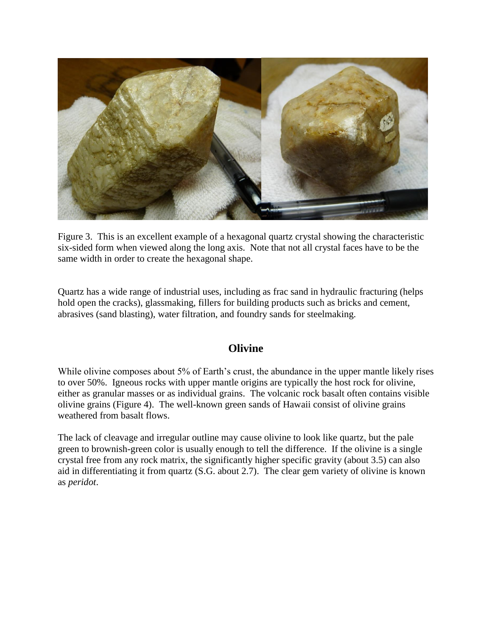

Figure 3. This is an excellent example of a hexagonal quartz crystal showing the characteristic six-sided form when viewed along the long axis. Note that not all crystal faces have to be the same width in order to create the hexagonal shape.

Quartz has a wide range of industrial uses, including as frac sand in hydraulic fracturing (helps hold open the cracks), glassmaking, fillers for building products such as bricks and cement, abrasives (sand blasting), water filtration, and foundry sands for steelmaking.

### **Olivine**

While olivine composes about 5% of Earth's crust, the abundance in the upper mantle likely rises to over 50%. Igneous rocks with upper mantle origins are typically the host rock for olivine, either as granular masses or as individual grains. The volcanic rock basalt often contains visible olivine grains (Figure 4). The well-known green sands of Hawaii consist of olivine grains weathered from basalt flows.

The lack of cleavage and irregular outline may cause olivine to look like quartz, but the pale green to brownish-green color is usually enough to tell the difference. If the olivine is a single crystal free from any rock matrix, the significantly higher specific gravity (about 3.5) can also aid in differentiating it from quartz (S.G. about 2.7). The clear gem variety of olivine is known as *peridot*.